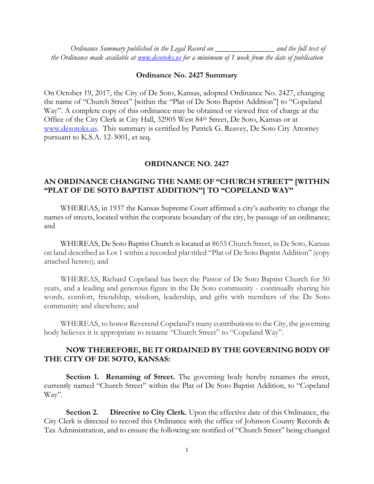*Ordinance Summary published in the Legal Record on \_\_\_\_\_\_\_\_\_\_\_\_\_\_\_ and the full text of the Ordinance made available at [www.desotoks.us](http://www.desotoks.us/) for a minimum of 1 week from the date of publication*

## **Ordinance No. 2427 Summary**

On October 19, 2017, the City of De Soto, Kansas, adopted Ordinance No. 2427, changing the name of "Church Street" [within the "Plat of De Soto Baptist Addition"] to "Copeland Way". A complete copy of this ordinance may be obtained or viewed free of charge at the Office of the City Clerk at City Hall, 32905 West 84th Street, De Soto, Kansas or at [www.desotoks.us.](http://www.desotoks.us/) This summary is certified by Patrick G. Reavey, De Soto City Attorney pursuant to K.S.A. 12-3001, et seq.

## **ORDINANCE NO. 2427**

## **AN ORDINANCE CHANGING THE NAME OF "CHURCH STREET" [WITHIN "PLAT OF DE SOTO BAPTIST ADDITION"] TO "COPELAND WAY"**

WHEREAS, in 1937 the Kansas Supreme Court affirmed a city's authority to change the names of streets, located within the corporate boundary of the city, by passage of an ordinance; and

WHEREAS, De Soto Baptist Church is located at 8655 Church Street, in De Soto, Kansas on land described as Lot 1 within a recorded plat titled "Plat of De Soto Baptist Addition" (copy attached hereto); and

WHEREAS, Richard Copeland has been the Pastor of De Soto Baptist Church for 50 years, and a leading and generous figure in the De Soto community - continually sharing his words, comfort, friendship, wisdom, leadership, and gifts with members of the De Soto community and elsewhere; and

WHEREAS, to honor Reverend Copeland's many contributions to the City, the governing body believes it is appropriate to rename "Church Street" to "Copeland Way".

## **NOW THEREFORE, BE IT ORDAINED BY THE GOVERNING BODY OF THE CITY OF DE SOTO, KANSAS:**

**Section 1. Renaming of Street.** The governing body hereby renames the street, currently named "Church Street" within the Plat of De Soto Baptist Addition, to "Copeland Way".

**Section 2. Directive to City Clerk.** Upon the effective date of this Ordinance, the City Clerk is directed to record this Ordinance with the office of Johnson County Records & Tax Administration, and to ensure the following are notified of "Church Street" being changed